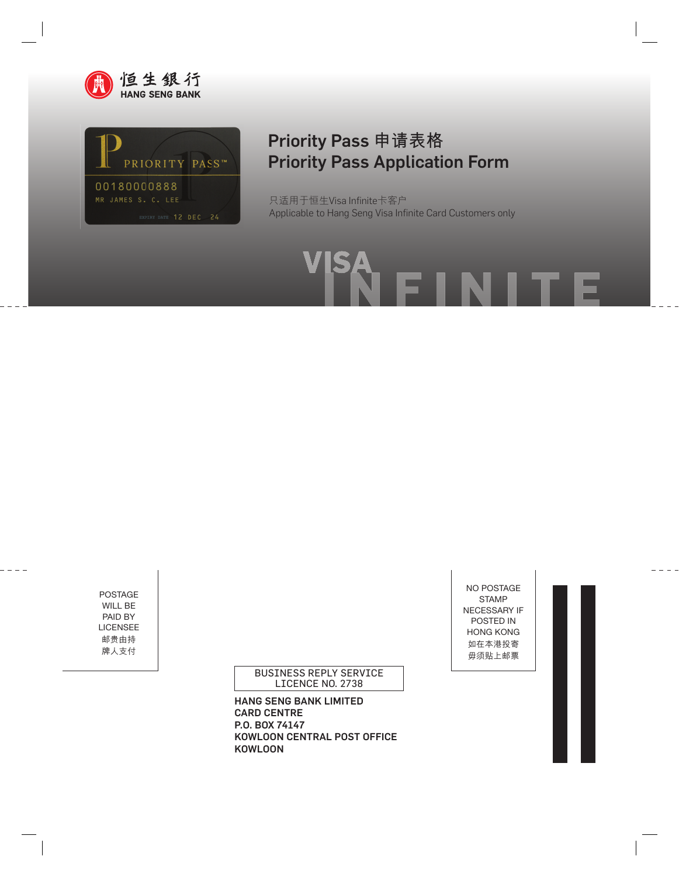



## Priority Pass **申請表格** Priority Pass Application Form

只适用于恒生Visa Infinite卡客户 Applicable to Hang Seng Visa Infinite Card Customers only

POSTAGE WILL BE PAID BY LICENSEE 郵貴由持 牌人支付

 $- - - -$ 

BUSINESS REPLY SERVICE LICENCE NO. 2738

HANG SENG BANK LIMITED CARD CENTRE P.O. BOX 74147 KOWLOON CENTRAL POST OFFICE KOWLOON

NO POSTAGE STAMP NECESSARY IF POSTED IN HONG KONG 如在本港投寄 毋須貼上郵票

п